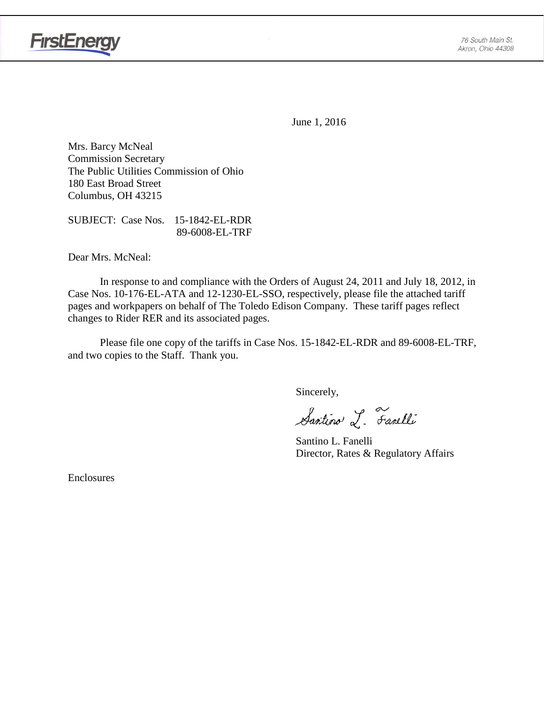

June 1, 2016

Mrs. Barcy McNeal Commission Secretary The Public Utilities Commission of Ohio 180 East Broad Street Columbus, OH 43215

SUBJECT: Case Nos. 15-1842-EL-RDR 89-6008-EL-TRF

Dear Mrs. McNeal:

In response to and compliance with the Orders of August 24, 2011 and July 18, 2012, in Case Nos. 10-176-EL-ATA and 12-1230-EL-SSO, respectively, please file the attached tariff pages and workpapers on behalf of The Toledo Edison Company. These tariff pages reflect changes to Rider RER and its associated pages.

Please file one copy of the tariffs in Case Nos. 15-1842-EL-RDR and 89-6008-EL-TRF, and two copies to the Staff. Thank you.

Sincerely,

Santino L. Farelli

Santino L. Fanelli Director, Rates & Regulatory Affairs

Enclosures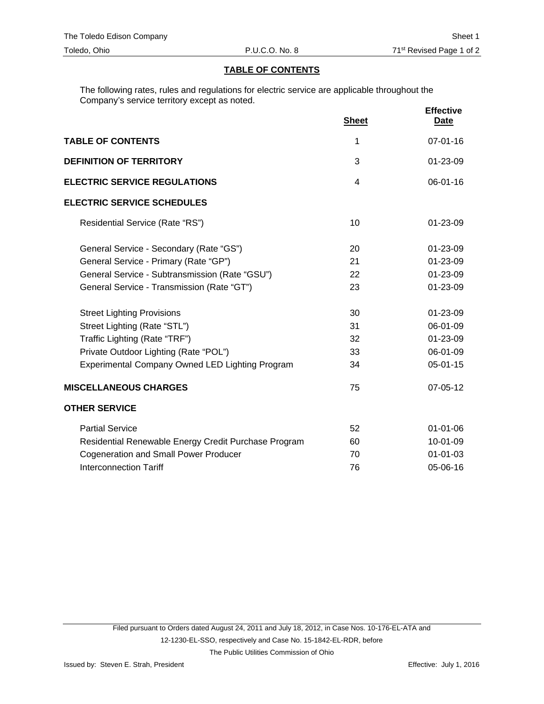#### **TABLE OF CONTENTS**

The following rates, rules and regulations for electric service are applicable throughout the Company's service territory except as noted.

|                                                      | <b>Sheet</b> | <b>Effective</b><br>Date |
|------------------------------------------------------|--------------|--------------------------|
| <b>TABLE OF CONTENTS</b>                             | 1            | $07 - 01 - 16$           |
| <b>DEFINITION OF TERRITORY</b>                       | 3            | 01-23-09                 |
| <b>ELECTRIC SERVICE REGULATIONS</b>                  | 4            | $06 - 01 - 16$           |
| <b>ELECTRIC SERVICE SCHEDULES</b>                    |              |                          |
| Residential Service (Rate "RS")                      | 10           | $01 - 23 - 09$           |
| General Service - Secondary (Rate "GS")              | 20           | 01-23-09                 |
| General Service - Primary (Rate "GP")                | 21           | 01-23-09                 |
| General Service - Subtransmission (Rate "GSU")       | 22           | 01-23-09                 |
| General Service - Transmission (Rate "GT")           | 23           | 01-23-09                 |
| <b>Street Lighting Provisions</b>                    | 30           | 01-23-09                 |
| Street Lighting (Rate "STL")                         | 31           | 06-01-09                 |
| Traffic Lighting (Rate "TRF")                        | 32           | 01-23-09                 |
| Private Outdoor Lighting (Rate "POL")                | 33           | 06-01-09                 |
| Experimental Company Owned LED Lighting Program      | 34           | 05-01-15                 |
| <b>MISCELLANEOUS CHARGES</b>                         | 75           | 07-05-12                 |
| <b>OTHER SERVICE</b>                                 |              |                          |
| <b>Partial Service</b>                               | 52           | $01 - 01 - 06$           |
| Residential Renewable Energy Credit Purchase Program | 60           | 10-01-09                 |
| <b>Cogeneration and Small Power Producer</b>         | 70           | $01 - 01 - 03$           |
| <b>Interconnection Tariff</b>                        | 76           | 05-06-16                 |

The Public Utilities Commission of Ohio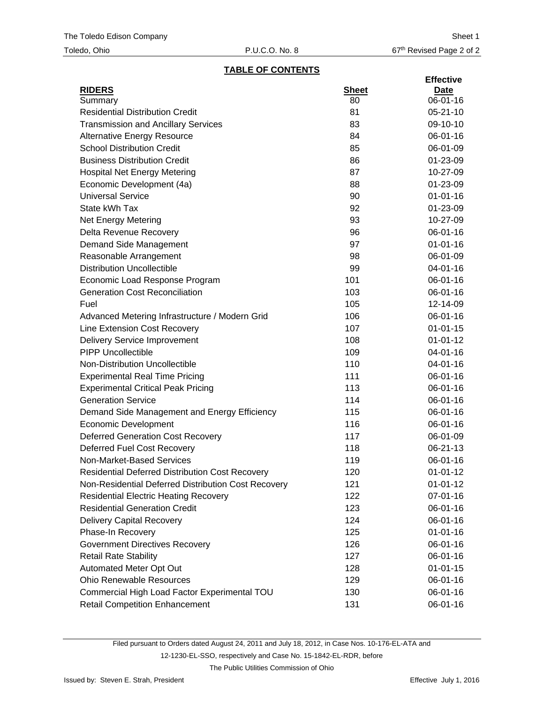# **TABLE OF CONTENTS**

|                                                        |              | <b>Effective</b> |
|--------------------------------------------------------|--------------|------------------|
| <b>RIDERS</b>                                          | <b>Sheet</b> | <u>Date</u>      |
| Summary                                                | 80           | 06-01-16         |
| <b>Residential Distribution Credit</b>                 | 81           | $05 - 21 - 10$   |
| <b>Transmission and Ancillary Services</b>             | 83           | 09-10-10         |
| <b>Alternative Energy Resource</b>                     | 84           | 06-01-16         |
| <b>School Distribution Credit</b>                      | 85           | 06-01-09         |
| <b>Business Distribution Credit</b>                    | 86           | 01-23-09         |
| <b>Hospital Net Energy Metering</b>                    | 87           | 10-27-09         |
| Economic Development (4a)                              | 88           | 01-23-09         |
| <b>Universal Service</b>                               | 90           | $01 - 01 - 16$   |
| State kWh Tax                                          | 92           | 01-23-09         |
| <b>Net Energy Metering</b>                             | 93           | 10-27-09         |
| Delta Revenue Recovery                                 | 96           | 06-01-16         |
| Demand Side Management                                 | 97           | $01 - 01 - 16$   |
| Reasonable Arrangement                                 | 98           | 06-01-09         |
| <b>Distribution Uncollectible</b>                      | 99           | 04-01-16         |
| Economic Load Response Program                         | 101          | $06 - 01 - 16$   |
| <b>Generation Cost Reconciliation</b>                  | 103          | 06-01-16         |
| Fuel                                                   | 105          | 12-14-09         |
| Advanced Metering Infrastructure / Modern Grid         | 106          | 06-01-16         |
| Line Extension Cost Recovery                           | 107          | $01 - 01 - 15$   |
| <b>Delivery Service Improvement</b>                    | 108          | $01 - 01 - 12$   |
| <b>PIPP Uncollectible</b>                              | 109          | 04-01-16         |
| Non-Distribution Uncollectible                         | 110          | 04-01-16         |
| <b>Experimental Real Time Pricing</b>                  | 111          | 06-01-16         |
| <b>Experimental Critical Peak Pricing</b>              | 113          | 06-01-16         |
| <b>Generation Service</b>                              | 114          | 06-01-16         |
| Demand Side Management and Energy Efficiency           | 115          | 06-01-16         |
| <b>Economic Development</b>                            | 116          | 06-01-16         |
| <b>Deferred Generation Cost Recovery</b>               | 117          | 06-01-09         |
| <b>Deferred Fuel Cost Recovery</b>                     | 118          | 06-21-13         |
| Non-Market-Based Services                              | 119          | 06-01-16         |
| <b>Residential Deferred Distribution Cost Recovery</b> | 120          | $01 - 01 - 12$   |
| Non-Residential Deferred Distribution Cost Recovery    | 121          | $01 - 01 - 12$   |
| <b>Residential Electric Heating Recovery</b>           | 122          | 07-01-16         |
| <b>Residential Generation Credit</b>                   | 123          | 06-01-16         |
| <b>Delivery Capital Recovery</b>                       | 124          | 06-01-16         |
| Phase-In Recovery                                      | 125          | $01 - 01 - 16$   |
| <b>Government Directives Recovery</b>                  | 126          | 06-01-16         |
| <b>Retail Rate Stability</b>                           | 127          | 06-01-16         |
| Automated Meter Opt Out                                | 128          | $01 - 01 - 15$   |
| <b>Ohio Renewable Resources</b>                        | 129          | 06-01-16         |
| Commercial High Load Factor Experimental TOU           | 130          | 06-01-16         |
| <b>Retail Competition Enhancement</b>                  | 131          | 06-01-16         |

Filed pursuant to Orders dated August 24, 2011 and July 18, 2012, in Case Nos. 10-176-EL-ATA and 12-1230-EL-SSO, respectively and Case No. 15-1842-EL-RDR, before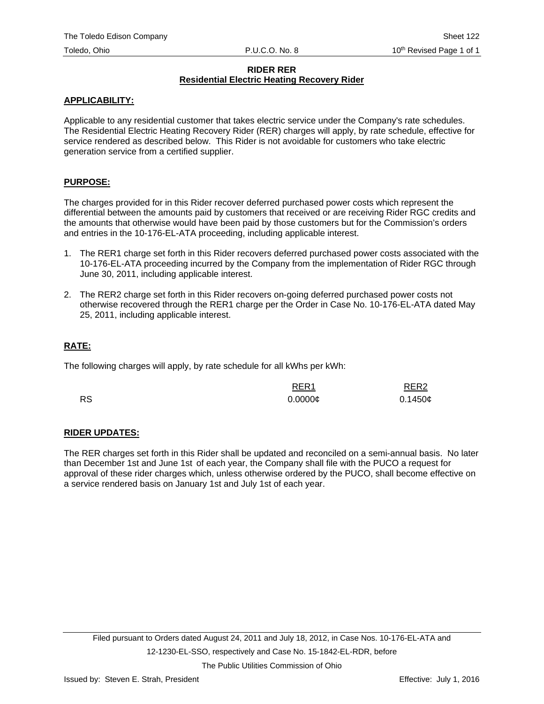#### **RIDER RER Residential Electric Heating Recovery Rider**

## **APPLICABILITY:**

Applicable to any residential customer that takes electric service under the Company's rate schedules. The Residential Electric Heating Recovery Rider (RER) charges will apply, by rate schedule, effective for service rendered as described below. This Rider is not avoidable for customers who take electric generation service from a certified supplier.

## **PURPOSE:**

The charges provided for in this Rider recover deferred purchased power costs which represent the differential between the amounts paid by customers that received or are receiving Rider RGC credits and the amounts that otherwise would have been paid by those customers but for the Commission's orders and entries in the 10-176-EL-ATA proceeding, including applicable interest.

- 1. The RER1 charge set forth in this Rider recovers deferred purchased power costs associated with the 10-176-EL-ATA proceeding incurred by the Company from the implementation of Rider RGC through June 30, 2011, including applicable interest.
- 2. The RER2 charge set forth in this Rider recovers on-going deferred purchased power costs not otherwise recovered through the RER1 charge per the Order in Case No. 10-176-EL-ATA dated May 25, 2011, including applicable interest.

## **RATE:**

The following charges will apply, by rate schedule for all kWhs per kWh:

|           | RER <sub>1</sub> | RER <sub>2</sub> |
|-----------|------------------|------------------|
| <b>RS</b> | $0.0000 \phi$    | 0.1450c          |

## **RIDER UPDATES:**

The RER charges set forth in this Rider shall be updated and reconciled on a semi-annual basis. No later than December 1st and June 1st of each year, the Company shall file with the PUCO a request for approval of these rider charges which, unless otherwise ordered by the PUCO, shall become effective on a service rendered basis on January 1st and July 1st of each year.